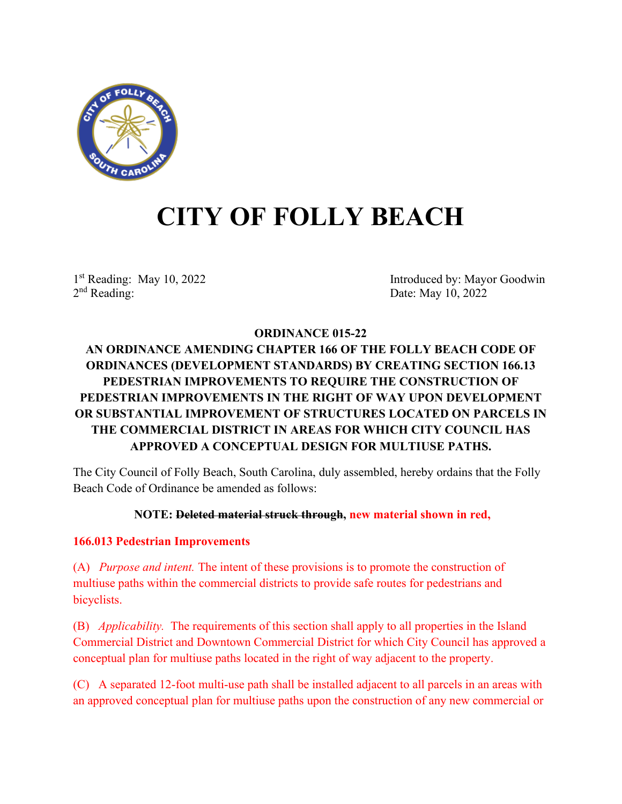

# **CITY OF FOLLY BEACH**

1st Reading: May 10, 2022<br>
2<sup>nd</sup> Reading: Date: May 10, 2022<br>
2<sup>nd</sup> Reading: Date: May 10, 2022 Date: May 10, 2022

# **ORDINANCE 015-22**

# **AN ORDINANCE AMENDING CHAPTER 166 OF THE FOLLY BEACH CODE OF ORDINANCES (DEVELOPMENT STANDARDS) BY CREATING SECTION 166.13 PEDESTRIAN IMPROVEMENTS TO REQUIRE THE CONSTRUCTION OF PEDESTRIAN IMPROVEMENTS IN THE RIGHT OF WAY UPON DEVELOPMENT OR SUBSTANTIAL IMPROVEMENT OF STRUCTURES LOCATED ON PARCELS IN THE COMMERCIAL DISTRICT IN AREAS FOR WHICH CITY COUNCIL HAS APPROVED A CONCEPTUAL DESIGN FOR MULTIUSE PATHS.**

The City Council of Folly Beach, South Carolina, duly assembled, hereby ordains that the Folly Beach Code of Ordinance be amended as follows:

# **NOTE: Deleted material struck through, new material shown in red,**

# **166.013 Pedestrian Improvements**

(A) *Purpose and intent.* The intent of these provisions is to promote the construction of multiuse paths within the commercial districts to provide safe routes for pedestrians and bicyclists.

(B) *Applicability.* The requirements of this section shall apply to all properties in the Island Commercial District and Downtown Commercial District for which City Council has approved a conceptual plan for multiuse paths located in the right of way adjacent to the property.

(C) A separated 12-foot multi-use path shall be installed adjacent to all parcels in an areas with an approved conceptual plan for multiuse paths upon the construction of any new commercial or